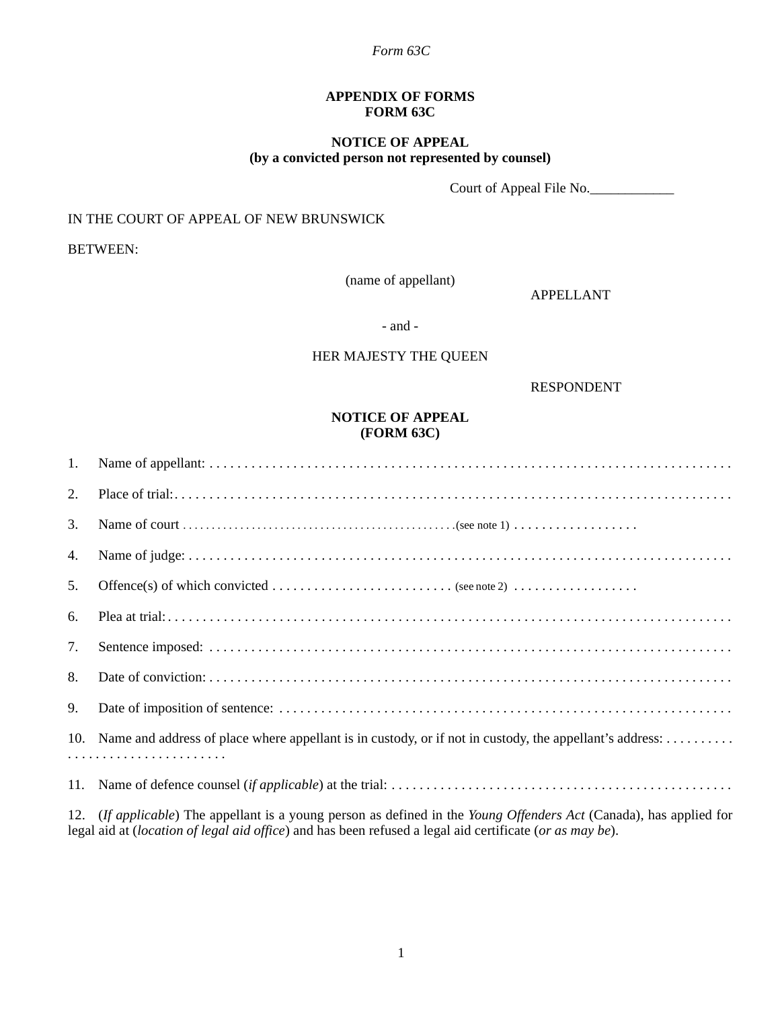#### *Form 63C*

#### **APPENDIX OF FORMS FORM 63C**

# **NOTICE OF APPEAL (by a convicted person not represented by counsel)**

Court of Appeal File No.

# IN THE COURT OF APPEAL OF NEW BRUNSWICK

BETWEEN:

(name of appellant)

APPELLANT

- and -

### HER MAJESTY THE QUEEN

#### RESPONDENT

## **NOTICE OF APPEAL (FORM 63C)**

| 1. |                                                                                                             |
|----|-------------------------------------------------------------------------------------------------------------|
| 2. |                                                                                                             |
| 3. |                                                                                                             |
| 4. |                                                                                                             |
| 5. |                                                                                                             |
| 6. |                                                                                                             |
| 7. |                                                                                                             |
| 8. |                                                                                                             |
| 9. |                                                                                                             |
|    | 10. Name and address of place where appellant is in custody, or if not in custody, the appellant's address: |
|    |                                                                                                             |

12. (*If applicable*) The appellant is a young person as defined in the *Young Offenders Act* (Canada), has applied for legal aid at (*location of legal aid office*) and has been refused a legal aid certificate (*or as may be*).